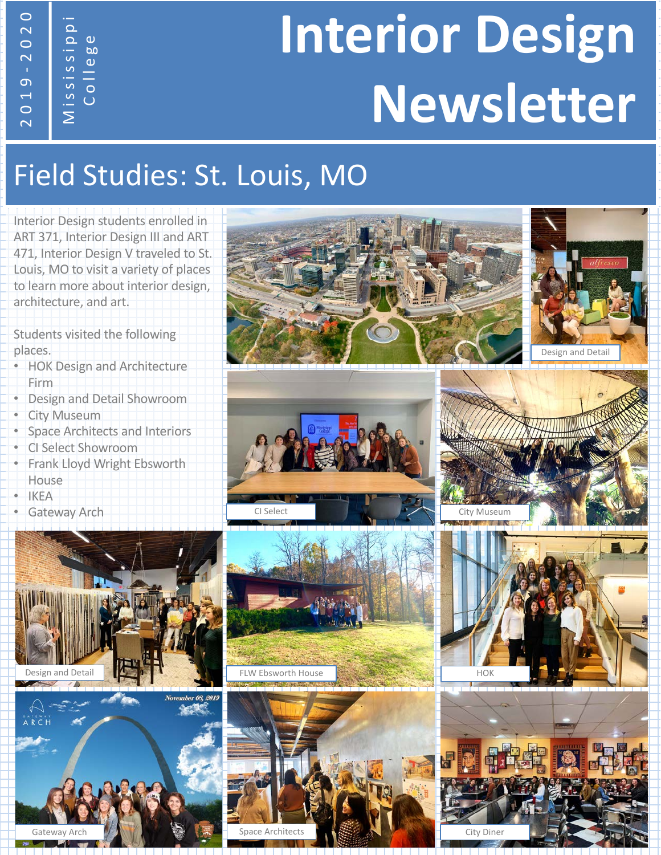# **Interior Design Newsletter** - <sup>2020</sup>

#### Field Studies: St. Louis, MO

Interior Design students enrolled in ART 371, Interior Design III and ART 471, Interior Design V traveled to St. Louis, MO to visit a variety of places to learn more about interior design, architecture, and art.

Students visited the following places.

Mississippi College

2019

- HOK Design and Architecture Firm
- Design and Detail Showroom
- **City Museum**
- Space Architects and Interiors
- CI Select Showroom
- Frank Lloyd Wright Ebsworth **House**
- **IKEA**
- Gateway Arch







FLW Ebsworth House



Design and Detail

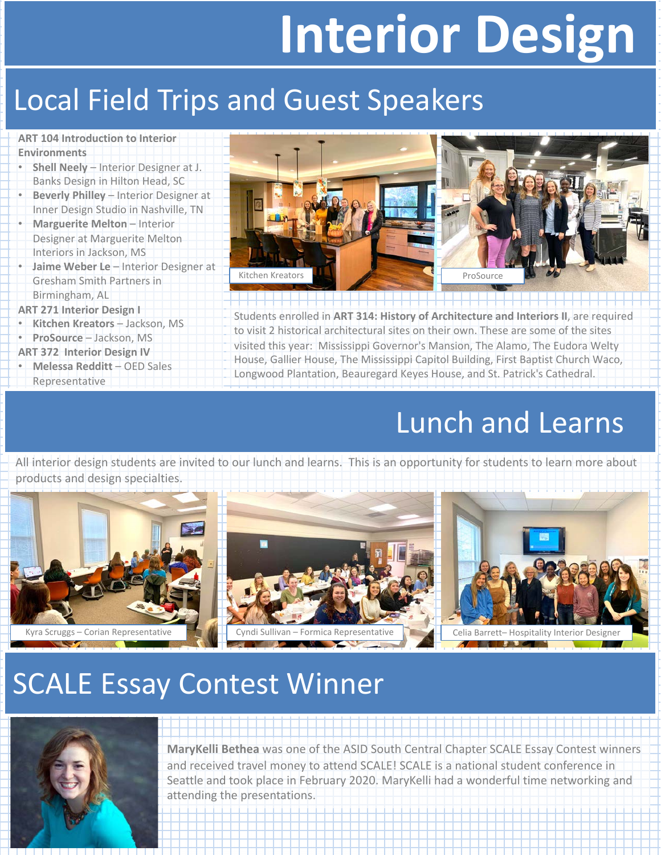# **Interior Design**

#### **Local Field Trips and Guest Speakers**

**ART 104 Introduction to Interior Environments**

- **Shell Neely**  Interior Designer at J. Banks Design in Hilton Head, SC
- **Beverly Philley** Interior Designer at Inner Design Studio in Nashville, TN
- **Marguerite Melton** Interior Designer at Marguerite Melton Interiors in Jackson, MS
- **Jaime Weber Le**  Interior Designer at Gresham Smith Partners in Birmingham, AL

**ART 271 Interior Design I**

- **Kitchen Kreators** Jackson, MS
- **ProSource** Jackson, MS
- **ART 372 Interior Design IV**
- **Melessa Redditt**  OED Sales Representative



Students enrolled in **ART 314: History of Architecture and Interiors II**, are required to visit 2 historical architectural sites on their own. These are some of the sites visited this year: Mississippi Governor's Mansion, The Alamo, The Eudora Welty House, Gallier House, The Mississippi Capitol Building, First Baptist Church Waco, Longwood Plantation, Beauregard Keyes House, and St. Patrick's Cathedral.

#### Lunch and Learns

All interior design students are invited to our lunch and learns. This is an opportunity for students to learn more about products and design specialties.



### SCALE Essay Contest Winner



**MaryKelli Bethea** was one of the ASID South Central Chapter SCALE Essay Contest winners and received travel money to attend SCALE! SCALE is a national student conference in Seattle and took place in February 2020. MaryKelli had a wonderful time networking and attending the presentations.